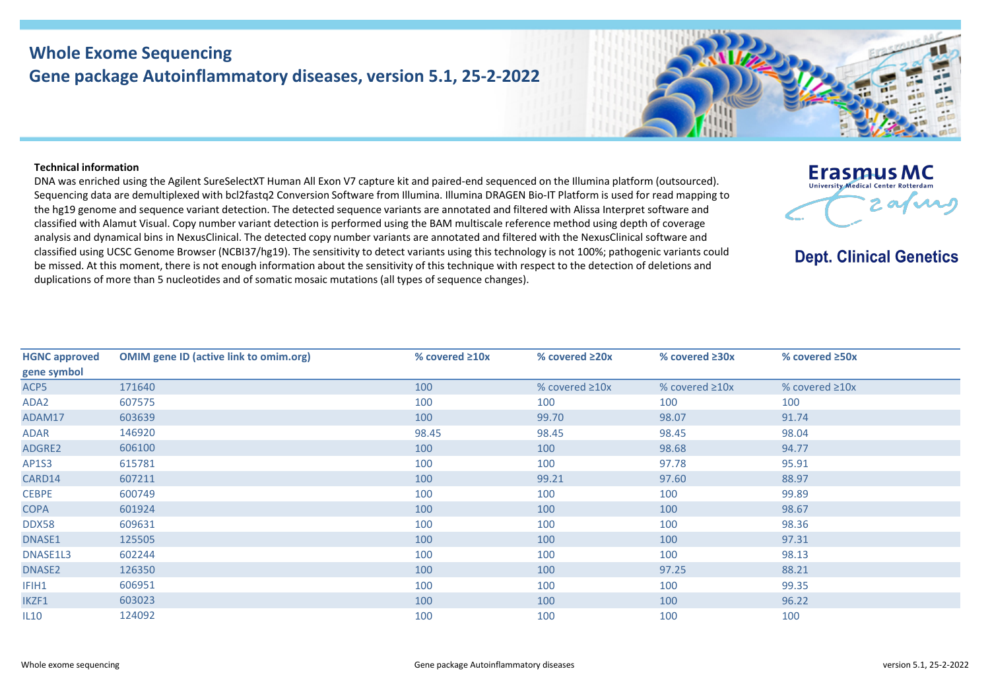## **Whole Exome Sequencing Gene package Autoinflammatory diseases, version 5.1, 25-2-2022**



**Erasmus MC** University Medical Center Rotterda

**Dept. Clinical Genetics** 

 $2$  as  $\sqrt{2}$ 

## **Technical information**

DNA was enriched using the Agilent SureSelectXT Human All Exon V7 capture kit and paired-end sequenced on the Illumina platform (outsourced). Sequencing data are demultiplexed with bcl2fastq2 Conversion Software from Illumina. Illumina DRAGEN Bio-IT Platform is used for read mapping to the hg19 genome and sequence variant detection. The detected sequence variants are annotated and filtered with Alissa Interpret software and classified with Alamut Visual. Copy number variant detection is performed using the BAM multiscale reference method using depth of coverage analysis and dynamical bins in NexusClinical. The detected copy number variants are annotated and filtered with the NexusClinical software and classified using UCSC Genome Browser (NCBI37/hg19). The sensitivity to detect variants using this technology is not 100%; pathogenic variants could be missed. At this moment, there is not enough information about the sensitivity of this technique with respect to the detection of deletions and duplications of more than 5 nucleotides and of somatic mosaic mutations (all types of sequence changes).

| <b>OMIM gene ID (active link to omim.org)</b> | % covered $\geq 10x$ | % covered $\geq 20x$ | % covered $\geq 30x$ | % covered $\geq$ 50x |
|-----------------------------------------------|----------------------|----------------------|----------------------|----------------------|
|                                               |                      |                      |                      |                      |
| 171640                                        | 100                  | % covered $\geq 10x$ | % covered $\geq 10x$ | % covered $\geq 10x$ |
| 607575                                        | 100                  | 100                  | 100                  | 100                  |
| 603639                                        | 100                  | 99.70                | 98.07                | 91.74                |
| 146920                                        | 98.45                | 98.45                | 98.45                | 98.04                |
| 606100                                        | 100                  | 100                  | 98.68                | 94.77                |
| 615781                                        | 100                  | 100                  | 97.78                | 95.91                |
| 607211                                        | 100                  | 99.21                | 97.60                | 88.97                |
| 600749                                        | 100                  | 100                  | 100                  | 99.89                |
| 601924                                        | 100                  | 100                  | 100                  | 98.67                |
| 609631                                        | 100                  | 100                  | 100                  | 98.36                |
| 125505                                        | 100                  | 100                  | 100                  | 97.31                |
| 602244                                        | 100                  | 100                  | 100                  | 98.13                |
| 126350                                        | 100                  | 100                  | 97.25                | 88.21                |
| 606951                                        | 100                  | 100                  | 100                  | 99.35                |
| 603023                                        | 100                  | 100                  | 100                  | 96.22                |
| 124092                                        | 100                  | 100                  | 100                  | 100                  |
|                                               |                      |                      |                      |                      |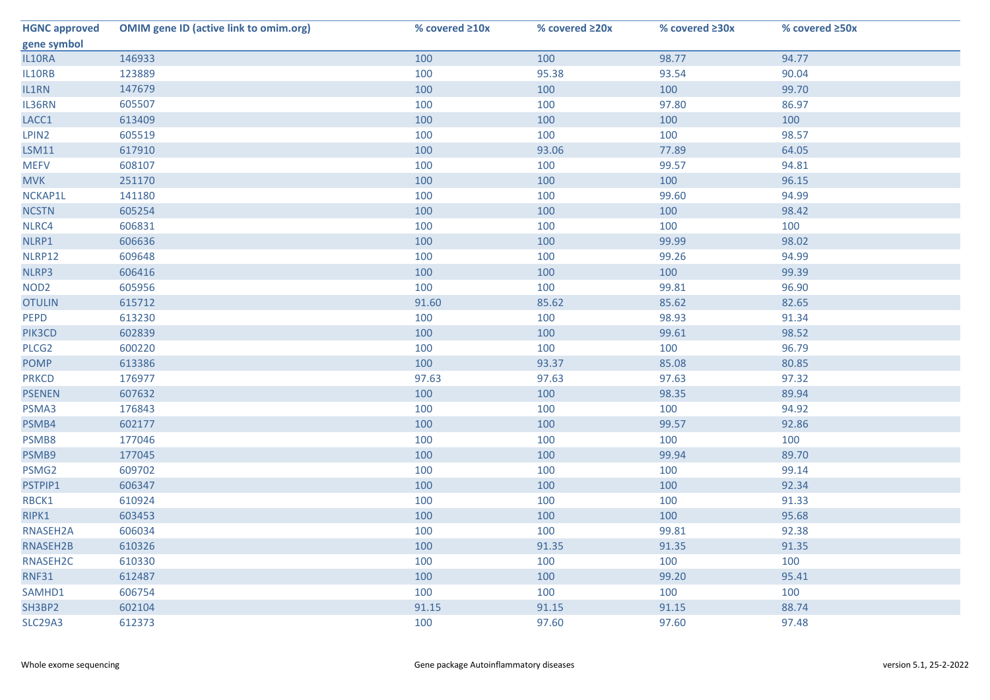| <b>HGNC approved</b> | <b>OMIM gene ID (active link to omim.org)</b> | % covered $\geq 10x$ | % covered ≥20x | % covered ≥30x | % covered ≥50x |
|----------------------|-----------------------------------------------|----------------------|----------------|----------------|----------------|
| gene symbol          |                                               |                      |                |                |                |
| IL10RA               | 146933                                        | 100                  | 100            | 98.77          | 94.77          |
| IL10RB               | 123889                                        | 100                  | 95.38          | 93.54          | 90.04          |
| IL1RN                | 147679                                        | 100                  | 100            | 100            | 99.70          |
| IL36RN               | 605507                                        | 100                  | 100            | 97.80          | 86.97          |
| LACC1                | 613409                                        | 100                  | 100            | 100            | 100            |
| LPIN2                | 605519                                        | 100                  | 100            | 100            | 98.57          |
| <b>LSM11</b>         | 617910                                        | 100                  | 93.06          | 77.89          | 64.05          |
| <b>MEFV</b>          | 608107                                        | 100                  | 100            | 99.57          | 94.81          |
| <b>MVK</b>           | 251170                                        | 100                  | 100            | 100            | 96.15          |
| NCKAP1L              | 141180                                        | 100                  | 100            | 99.60          | 94.99          |
| <b>NCSTN</b>         | 605254                                        | 100                  | 100            | 100            | 98.42          |
| NLRC4                | 606831                                        | 100                  | 100            | 100            | 100            |
| NLRP1                | 606636                                        | 100                  | 100            | 99.99          | 98.02          |
| NLRP12               | 609648                                        | 100                  | 100            | 99.26          | 94.99          |
| NLRP3                | 606416                                        | 100                  | 100            | 100            | 99.39          |
| NOD <sub>2</sub>     | 605956                                        | 100                  | 100            | 99.81          | 96.90          |
| <b>OTULIN</b>        | 615712                                        | 91.60                | 85.62          | 85.62          | 82.65          |
| PEPD                 | 613230                                        | 100                  | 100            | 98.93          | 91.34          |
| PIK3CD               | 602839                                        | 100                  | 100            | 99.61          | 98.52          |
| PLCG <sub>2</sub>    | 600220                                        | 100                  | 100            | 100            | 96.79          |
| <b>POMP</b>          | 613386                                        | 100                  | 93.37          | 85.08          | 80.85          |
| <b>PRKCD</b>         | 176977                                        | 97.63                | 97.63          | 97.63          | 97.32          |
| <b>PSENEN</b>        | 607632                                        | 100                  | 100            | 98.35          | 89.94          |
| PSMA3                | 176843                                        | 100                  | 100            | 100            | 94.92          |
| PSMB4                | 602177                                        | 100                  | 100            | 99.57          | 92.86          |
| PSMB8                | 177046                                        | 100                  | 100            | 100            | 100            |
| PSMB9                | 177045                                        | 100                  | 100            | 99.94          | 89.70          |
| PSMG2                | 609702                                        | 100                  | 100            | 100            | 99.14          |
| PSTPIP1              | 606347                                        | 100                  | 100            | 100            | 92.34          |
| RBCK1                | 610924                                        | 100                  | 100            | 100            | 91.33          |
| RIPK1                | 603453                                        | 100                  | 100            | 100            | 95.68          |
| RNASEH2A             | 606034                                        | 100                  | 100            | 99.81          | 92.38          |
| RNASEH2B             | 610326                                        | 100                  | 91.35          | 91.35          | 91.35          |
| RNASEH2C             | 610330                                        | 100                  | 100            | 100            | 100            |
| <b>RNF31</b>         | 612487                                        | 100                  | 100            | 99.20          | 95.41          |
| SAMHD1               | 606754                                        | 100                  | 100            | 100            | 100            |
| SH3BP2               | 602104                                        | 91.15                | 91.15          | 91.15          | 88.74          |
| <b>SLC29A3</b>       | 612373                                        | 100                  | 97.60          | 97.60          | 97.48          |